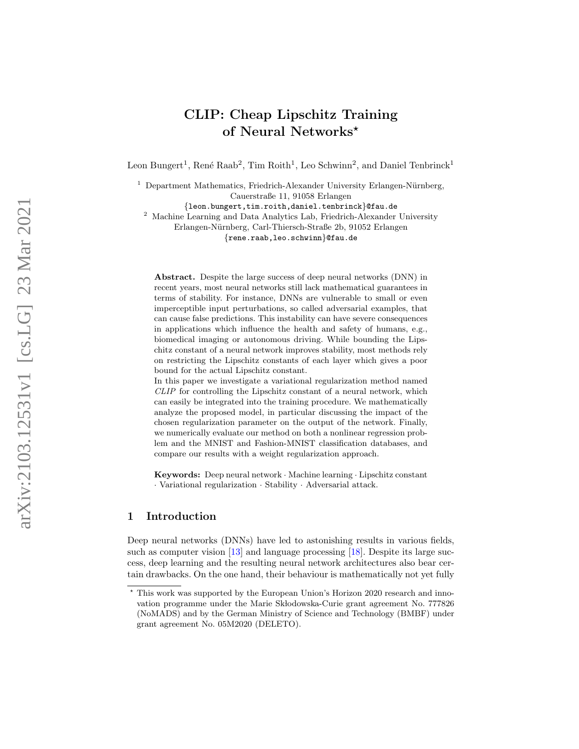# CLIP: Cheap Lipschitz Training of Neural Networks<sup>\*</sup>

<span id="page-0-0"></span>Leon Bungert<sup>1</sup>, René Raab<sup>2</sup>, Tim Roith<sup>1</sup>, Leo Schwinn<sup>2</sup>, and Daniel Tenbrinck<sup>1</sup>

<sup>1</sup> Department Mathematics, Friedrich-Alexander University Erlangen-Nürnberg, Cauerstraße 11, 91058 Erlangen

{leon.bungert,tim.roith,daniel.tenbrinck }@fau.de

<sup>2</sup> Machine Learning and Data Analytics Lab, Friedrich-Alexander University

Erlangen-Nürnberg, Carl-Thiersch-Straße 2b, 91052 Erlangen

{rene.raab,leo.schwinn}@fau.de

Abstract. Despite the large success of deep neural networks (DNN) in recent years, most neural networks still lack mathematical guarantees in terms of stability. For instance, DNNs are vulnerable to small or even imperceptible input perturbations, so called adversarial examples, that can cause false predictions. This instability can have severe consequences in applications which influence the health and safety of humans, e.g., biomedical imaging or autonomous driving. While bounding the Lipschitz constant of a neural network improves stability, most methods rely on restricting the Lipschitz constants of each layer which gives a poor bound for the actual Lipschitz constant.

In this paper we investigate a variational regularization method named CLIP for controlling the Lipschitz constant of a neural network, which can easily be integrated into the training procedure. We mathematically analyze the proposed model, in particular discussing the impact of the chosen regularization parameter on the output of the network. Finally, we numerically evaluate our method on both a nonlinear regression problem and the MNIST and Fashion-MNIST classification databases, and compare our results with a weight regularization approach.

Keywords: Deep neural network · Machine learning · Lipschitz constant · Variational regularization · Stability · Adversarial attack.

# 1 Introduction

Deep neural networks (DNNs) have led to astonishing results in various fields, such as computer vision [\[13\]](#page-11-0) and language processing [\[18\]](#page-11-1). Despite its large success, deep learning and the resulting neural network architectures also bear certain drawbacks. On the one hand, their behaviour is mathematically not yet fully

<sup>?</sup> This work was supported by the European Union's Horizon 2020 research and innovation programme under the Marie Skłodowska-Curie grant agreement No. 777826 (NoMADS) and by the German Ministry of Science and Technology (BMBF) under grant agreement No. 05M2020 (DELETO).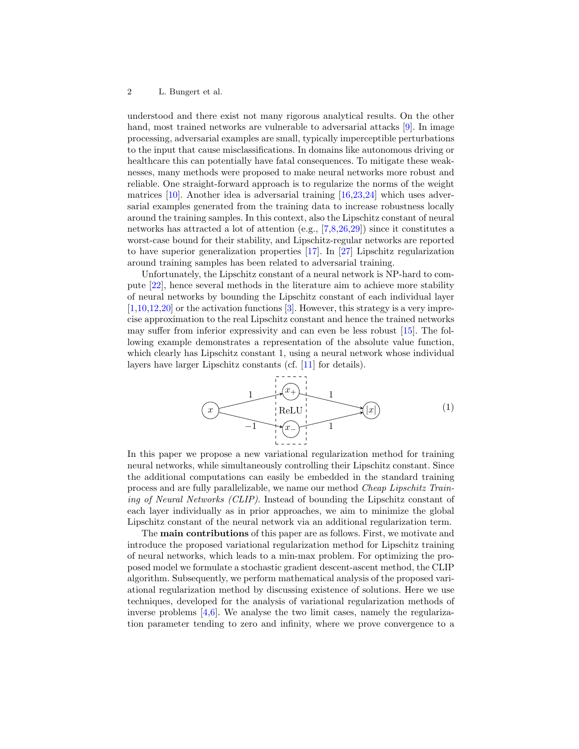understood and there exist not many rigorous analytical results. On the other hand, most trained networks are vulnerable to adversarial attacks [\[9\]](#page-11-2). In image processing, adversarial examples are small, typically imperceptible perturbations to the input that cause misclassifications. In domains like autonomous driving or healthcare this can potentially have fatal consequences. To mitigate these weaknesses, many methods were proposed to make neural networks more robust and reliable. One straight-forward approach is to regularize the norms of the weight matrices  $[10]$ . Another idea is adversarial training  $[16,23,24]$  $[16,23,24]$  $[16,23,24]$  which uses adversarial examples generated from the training data to increase robustness locally around the training samples. In this context, also the Lipschitz constant of neural networks has attracted a lot of attention (e.g., [\[7,](#page-11-7)[8](#page-11-8)[,26,](#page-11-9)[29\]](#page-11-10)) since it constitutes a worst-case bound for their stability, and Lipschitz-regular networks are reported to have superior generalization properties [\[17\]](#page-11-11). In [\[27\]](#page-11-12) Lipschitz regularization around training samples has been related to adversarial training.

Unfortunately, the Lipschitz constant of a neural network is NP-hard to compute [\[22\]](#page-11-13), hence several methods in the literature aim to achieve more stability of neural networks by bounding the Lipschitz constant of each individual layer  $[1,10,12,20]$  $[1,10,12,20]$  $[1,10,12,20]$  $[1,10,12,20]$  or the activation functions  $[3]$ . However, this strategy is a very imprecise approximation to the real Lipschitz constant and hence the trained networks may suffer from inferior expressivity and can even be less robust [\[15\]](#page-11-16). The following example demonstrates a representation of the absolute value function, which clearly has Lipschitz constant 1, using a neural network whose individual layers have larger Lipschitz constants (cf. [\[11\]](#page-11-17) for details).



In this paper we propose a new variational regularization method for training neural networks, while simultaneously controlling their Lipschitz constant. Since the additional computations can easily be embedded in the standard training process and are fully parallelizable, we name our method Cheap Lipschitz Training of Neural Networks (CLIP). Instead of bounding the Lipschitz constant of each layer individually as in prior approaches, we aim to minimize the global Lipschitz constant of the neural network via an additional regularization term.

The main contributions of this paper are as follows. First, we motivate and introduce the proposed variational regularization method for Lipschitz training of neural networks, which leads to a min-max problem. For optimizing the proposed model we formulate a stochastic gradient descent-ascent method, the CLIP algorithm. Subsequently, we perform mathematical analysis of the proposed variational regularization method by discussing existence of solutions. Here we use techniques, developed for the analysis of variational regularization methods of inverse problems [\[4,](#page-10-2)[6\]](#page-10-3). We analyse the two limit cases, namely the regularization parameter tending to zero and infinity, where we prove convergence to a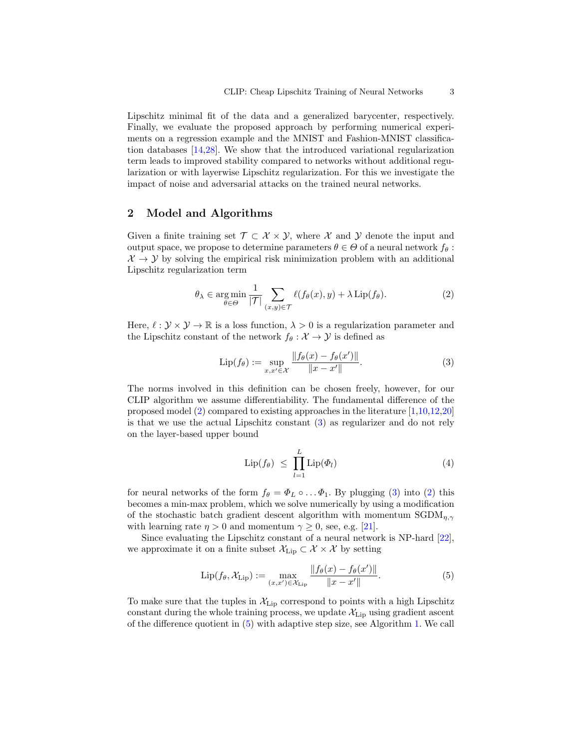Lipschitz minimal fit of the data and a generalized barycenter, respectively. Finally, we evaluate the proposed approach by performing numerical experiments on a regression example and the MNIST and Fashion-MNIST classification databases [\[14,](#page-11-18)[28\]](#page-11-19). We show that the introduced variational regularization term leads to improved stability compared to networks without additional regularization or with layerwise Lipschitz regularization. For this we investigate the impact of noise and adversarial attacks on the trained neural networks.

# 2 Model and Algorithms

Given a finite training set  $\mathcal{T} \subset \mathcal{X} \times \mathcal{Y}$ , where X and Y denote the input and output space, we propose to determine parameters  $\theta \in \Theta$  of a neural network  $f_{\theta}$ :  $\mathcal{X} \rightarrow \mathcal{Y}$  by solving the empirical risk minimization problem with an additional Lipschitz regularization term

$$
\theta_{\lambda} \in \underset{\theta \in \Theta}{\arg \min} \frac{1}{|\mathcal{T}|} \sum_{(x,y) \in \mathcal{T}} \ell(f_{\theta}(x), y) + \lambda \operatorname{Lip}(f_{\theta}). \tag{2}
$$

Here,  $\ell : \mathcal{Y} \times \mathcal{Y} \to \mathbb{R}$  is a loss function,  $\lambda > 0$  is a regularization parameter and the Lipschitz constant of the network  $f_{\theta}: \mathcal{X} \to \mathcal{Y}$  is defined as

<span id="page-2-0"></span>
$$
\text{Lip}(f_{\theta}) := \sup_{x, x' \in \mathcal{X}} \frac{\|f_{\theta}(x) - f_{\theta}(x')\|}{\|x - x'\|}.
$$
 (3)

The norms involved in this definition can be chosen freely, however, for our CLIP algorithm we assume differentiability. The fundamental difference of the proposed model [\(2\)](#page-2-0) compared to existing approaches in the literature [\[1,](#page-10-0)[10,](#page-11-3)[12,](#page-11-14)[20\]](#page-11-15) is that we use the actual Lipschitz constant [\(3\)](#page-2-1) as regularizer and do not rely on the layer-based upper bound

<span id="page-2-3"></span><span id="page-2-2"></span><span id="page-2-1"></span>
$$
\operatorname{Lip}(f_{\theta}) \leq \prod_{l=1}^{L} \operatorname{Lip}(\varPhi_{l}) \tag{4}
$$

for neural networks of the form  $f_{\theta} = \Phi_L \circ \dots \Phi_1$ . By plugging [\(3\)](#page-2-1) into [\(2\)](#page-2-0) this becomes a min-max problem, which we solve numerically by using a modification of the stochastic batch gradient descent algorithm with momentum  $SGDM_{n,\gamma}$ with learning rate  $\eta > 0$  and momentum  $\gamma \geq 0$ , see, e.g. [\[21\]](#page-11-20).

Since evaluating the Lipschitz constant of a neural network is NP-hard [\[22\]](#page-11-13), we approximate it on a finite subset  $\mathcal{X}_{\text{Lip}} \subset \mathcal{X} \times \mathcal{X}$  by setting

$$
\text{Lip}(f_{\theta}, \mathcal{X}_{\text{Lip}}) := \max_{(x, x') \in \mathcal{X}_{\text{Lip}}} \frac{\|f_{\theta}(x) - f_{\theta}(x')\|}{\|x - x'\|}.
$$
 (5)

To make sure that the tuples in  $\mathcal{X}_{\text{Lip}}$  correspond to points with a high Lipschitz constant during the whole training process, we update  $\mathcal{X}_{\text{Lip}}$  using gradient ascent of the difference quotient in [\(5\)](#page-2-2) with adaptive step size, see Algorithm [1.](#page-3-0) We call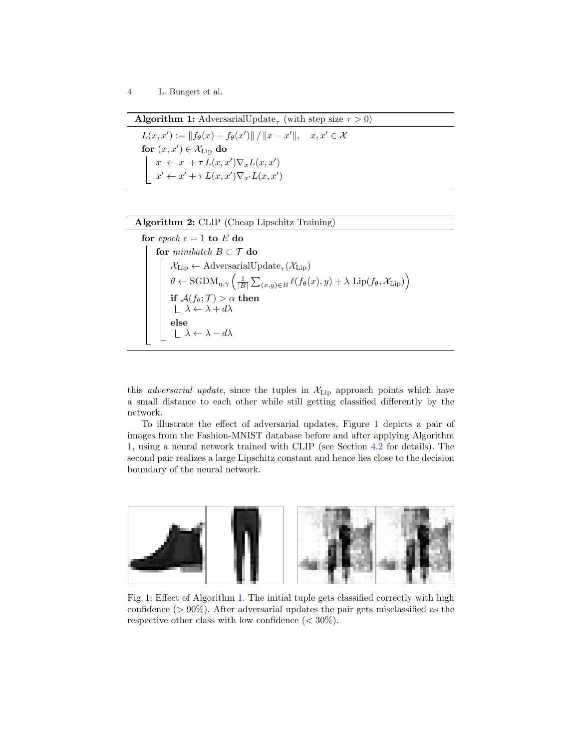**Algorithm 1:** AdversarialUpdate<sub> $\tau$ </sub> (with step size  $\tau > 0$ )  $L(x, x') := ||f_{\theta}(x) - f_{\theta}(x')|| / ||x - x'||, \quad x, x' \in \mathcal{X}$ for  $(x, x') \in \mathcal{X}^{\perp}_{\text{Lip}}$  do  $x \leftarrow x + \tau L(x, x') \nabla_x L(x, x')$  $x' \leftarrow x' + \tau L(x, x') \nabla_{x'} L(x, x')$ 

<span id="page-3-0"></span>Algorithm 2: CLIP (Cheap Lipschitz Training)

for epoch  $e = 1$  to E do for  $\mathit{minibatch}$   $B \subset \mathcal{T}$ do  $\mathcal{X}_{\text{Lip}} \leftarrow \text{AdversarialUpdate}_{\tau}(\mathcal{X}_{\text{Lip}})$  $\theta \leftarrow \text{SGDM}_{\eta, \gamma} \left( \frac{1}{|B|} \sum_{(x, y) \in B} \ell(f_{\theta}(x), y) + \lambda \text{ Lip}(f_{\theta}, \mathcal{X}_{\text{Lip}}) \right)$ if  $\mathcal{A}(f_\theta;\mathcal{T}) > \alpha$  then  $\lambda \leftarrow \lambda + d\lambda$ else  $\lambda \leftarrow \lambda - d\lambda$ 

<span id="page-3-2"></span>this *adversarial update*, since the tuples in  $\mathcal{X}_{\text{Lip}}$  approach points which have a small distance to each other while still getting classified differently by the network.

To illustrate the effect of adversarial updates, Figure [1](#page-3-1) depicts a pair of images from the Fashion-MNIST database before and after applying Algorithm [1,](#page-3-0) using a neural network trained with CLIP (see Section [4.2](#page-8-0) for details). The second pair realizes a large Lipschitz constant and hence lies close to the decision boundary of the neural network.

<span id="page-3-1"></span>

Fig. 1: Effect of Algorithm [1.](#page-3-0) The initial tuple gets classified correctly with high confidence  $(>90\%)$ . After adversarial updates the pair gets misclassified as the respective other class with low confidence  $(< 30\%$ ).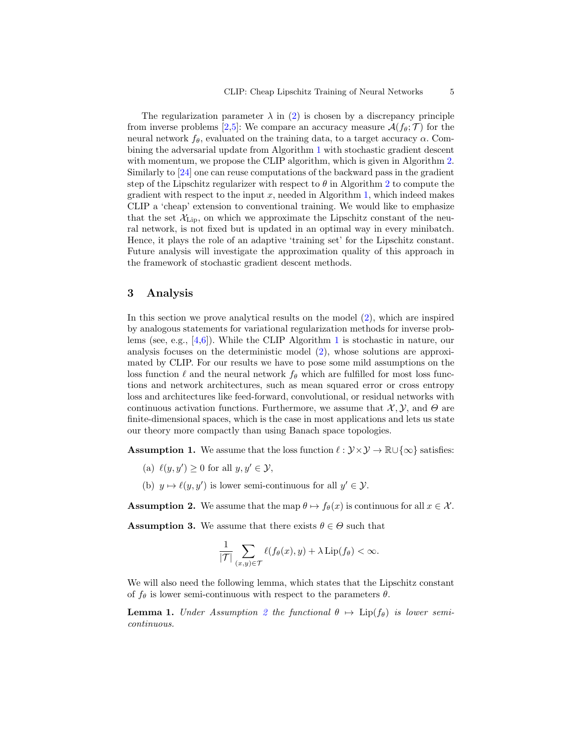The regularization parameter  $\lambda$  in [\(2\)](#page-2-0) is chosen by a discrepancy principle from inverse problems [\[2,](#page-10-4)[5\]](#page-10-5): We compare an accuracy measure  $\mathcal{A}(f_\theta; \mathcal{T})$  for the neural network  $f_{\theta}$ , evaluated on the training data, to a target accuracy  $\alpha$ . Combining the adversarial update from Algorithm [1](#page-3-0) with stochastic gradient descent with momentum, we propose the CLIP algorithm, which is given in Algorithm [2.](#page-3-2) Similarly to [\[24\]](#page-11-6) one can reuse computations of the backward pass in the gradient step of the Lipschitz regularizer with respect to  $\theta$  in Algorithm [2](#page-3-2) to compute the gradient with respect to the input x, needed in Algorithm [1,](#page-3-0) which indeed makes CLIP a 'cheap' extension to conventional training. We would like to emphasize that the set  $\mathcal{X}_{\text{Lip}}$ , on which we approximate the Lipschitz constant of the neural network, is not fixed but is updated in an optimal way in every minibatch. Hence, it plays the role of an adaptive 'training set' for the Lipschitz constant. Future analysis will investigate the approximation quality of this approach in the framework of stochastic gradient descent methods.

## 3 Analysis

In this section we prove analytical results on the model  $(2)$ , which are inspired by analogous statements for variational regularization methods for inverse problems (see, e.g., [\[4](#page-10-2)[,6\]](#page-10-3)). While the CLIP Algorithm [1](#page-3-0) is stochastic in nature, our analysis focuses on the deterministic model [\(2\)](#page-2-0), whose solutions are approximated by CLIP. For our results we have to pose some mild assumptions on the loss function  $\ell$  and the neural network  $f_{\theta}$  which are fulfilled for most loss functions and network architectures, such as mean squared error or cross entropy loss and architectures like feed-forward, convolutional, or residual networks with continuous activation functions. Furthermore, we assume that  $\mathcal{X}, \mathcal{Y}$ , and  $\Theta$  are finite-dimensional spaces, which is the case in most applications and lets us state our theory more compactly than using Banach space topologies.

<span id="page-4-1"></span>**Assumption 1.** We assume that the loss function  $\ell : \mathcal{Y} \times \mathcal{Y} \to \mathbb{R} \cup {\infty}$  satisfies:

- (a)  $\ell(y, y') \geq 0$  for all  $y, y' \in \mathcal{Y}$ ,
- (b)  $y \mapsto \ell(y, y')$  is lower semi-continuous for all  $y' \in \mathcal{Y}$ .

<span id="page-4-0"></span>**Assumption 2.** We assume that the map  $\theta \mapsto f_{\theta}(x)$  is continuous for all  $x \in \mathcal{X}$ .

<span id="page-4-2"></span>**Assumption 3.** We assume that there exists  $\theta \in \Theta$  such that

<span id="page-4-3"></span>
$$
\frac{1}{|\mathcal{T}|} \sum_{(x,y) \in \mathcal{T}} \ell(f_{\theta}(x), y) + \lambda \operatorname{Lip}(f_{\theta}) < \infty.
$$

We will also need the following lemma, which states that the Lipschitz constant of  $f_{\theta}$  is lower semi-continuous with respect to the parameters  $\theta$ .

**Lemma 1.** Under Assumption [2](#page-4-0) the functional  $\theta \mapsto \text{Lip}(f_{\theta})$  is lower semicontinuous.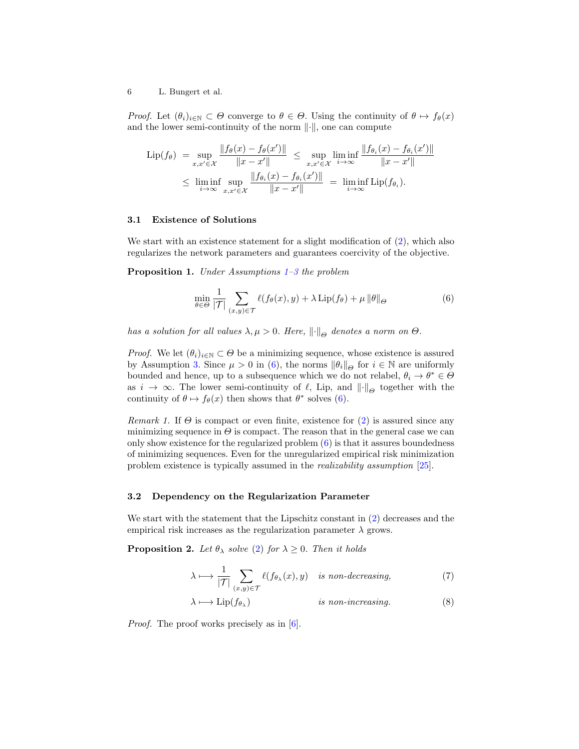*Proof.* Let  $(\theta_i)_{i\in\mathbb{N}}\subset\Theta$  converge to  $\theta\in\Theta$ . Using the continuity of  $\theta\mapsto f_{\theta}(x)$ and the lower semi-continuity of the norm  $\lVert \cdot \rVert$ , one can compute

$$
\text{Lip}(f_{\theta}) = \sup_{x,x' \in \mathcal{X}} \frac{\|f_{\theta}(x) - f_{\theta}(x')\|}{\|x - x'\|} \leq \sup_{x,x' \in \mathcal{X}} \liminf_{i \to \infty} \frac{\|f_{\theta_i}(x) - f_{\theta_i}(x')\|}{\|x - x'\|}
$$
\n
$$
\leq \liminf_{i \to \infty} \sup_{x,x' \in \mathcal{X}} \frac{\|f_{\theta_i}(x) - f_{\theta_i}(x')\|}{\|x - x'\|} = \liminf_{i \to \infty} \text{Lip}(f_{\theta_i}).
$$

## <span id="page-5-1"></span>3.1 Existence of Solutions

We start with an existence statement for a slight modification of  $(2)$ , which also regularizes the network parameters and guarantees coercivity of the objective.

Proposition 1. Under Assumptions [1–](#page-4-1)[3](#page-4-2) the problem

<span id="page-5-0"></span>
$$
\min_{\theta \in \Theta} \frac{1}{|\mathcal{T}|} \sum_{(x,y) \in \mathcal{T}} \ell(f_{\theta}(x), y) + \lambda \operatorname{Lip}(f_{\theta}) + \mu \|\theta\|_{\Theta} \tag{6}
$$

has a solution for all values  $\lambda, \mu > 0$ . Here,  $\left\| \cdot \right\|_{\Theta}$  denotes a norm on  $\Theta$ .

*Proof.* We let  $(\theta_i)_{i\in\mathbb{N}}\subset\Theta$  be a minimizing sequence, whose existence is assured by Assumption [3.](#page-4-2) Since  $\mu > 0$  in [\(6\)](#page-5-0), the norms  $\|\theta_i\|_{\Theta}$  for  $i \in \mathbb{N}$  are uniformly bounded and hence, up to a subsequence which we do not relabel,  $\theta_i \to \theta^* \in \Theta$ as  $i \to \infty$ . The lower semi-continuity of  $\ell$ , Lip, and  $\lVert \cdot \rVert_{\Theta}$  together with the continuity of  $\theta \mapsto f_{\theta}(x)$  then shows that  $\theta^*$  solves [\(6\)](#page-5-0).

Remark 1. If  $\Theta$  is compact or even finite, existence for [\(2\)](#page-2-0) is assured since any minimizing sequence in  $\Theta$  is compact. The reason that in the general case we can only show existence for the regularized problem  $(6)$  is that it assures boundedness of minimizing sequences. Even for the unregularized empirical risk minimization problem existence is typically assumed in the realizability assumption [\[25\]](#page-11-21).

## 3.2 Dependency on the Regularization Parameter

We start with the statement that the Lipschitz constant in  $(2)$  decreases and the empirical risk increases as the regularization parameter  $\lambda$  grows.

**Proposition 2.** Let  $\theta_{\lambda}$  solve [\(2\)](#page-2-0) for  $\lambda \geq 0$ . Then it holds

<span id="page-5-2"></span>
$$
\lambda \longmapsto \frac{1}{|\mathcal{T}|} \sum_{(x,y)\in\mathcal{T}} \ell(f_{\theta_{\lambda}}(x), y) \quad \text{is non-decreasing}, \tag{7}
$$

$$
\lambda \longmapsto \text{Lip}(f_{\theta_{\lambda}}) \qquad \qquad \text{is non-increasing.} \tag{8}
$$

*Proof.* The proof works precisely as in [\[6\]](#page-10-3).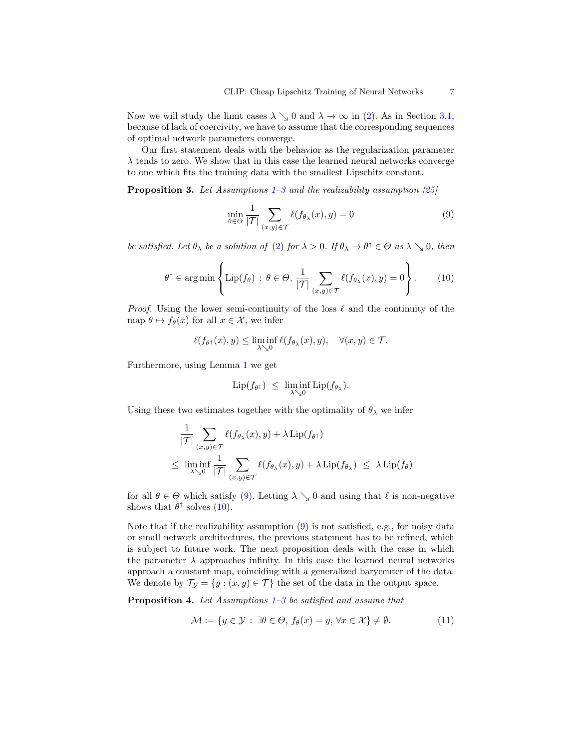Now we will study the limit cases  $\lambda \searrow 0$  and  $\lambda \to \infty$  in [\(2\)](#page-2-0). As in Section [3.1,](#page-5-1) because of lack of coercivity, we have to assume that the corresponding sequences of optimal network parameters converge.

Our first statement deals with the behavior as the regularization parameter  $\lambda$  tends to zero. We show that in this case the learned neural networks converge to one which fits the training data with the smallest Lipschitz constant.

**Proposition [3](#page-4-2).** Let Assumptions  $1-3$  and the realizability assumption [\[25\]](#page-11-21)

<span id="page-6-1"></span><span id="page-6-0"></span>
$$
\min_{\theta \in \Theta} \frac{1}{|\mathcal{T}|} \sum_{(x,y) \in \mathcal{T}} \ell(f_{\theta_{\lambda}}(x), y) = 0
$$
\n(9)

be satisfied. Let  $\theta_{\lambda}$  be a solution of [\(2\)](#page-2-0) for  $\lambda > 0$ . If  $\theta_{\lambda} \to \theta^{\dagger} \in \Theta$  as  $\lambda \searrow 0$ , then

$$
\theta^{\dagger} \in \arg\min \left\{ \mathrm{Lip}(f_{\theta}) : \theta \in \Theta, \, \frac{1}{|\mathcal{T}|} \sum_{(x,y) \in \mathcal{T}} \ell(f_{\theta_{\lambda}}(x), y) = 0 \right\}.
$$
 (10)

*Proof.* Using the lower semi-continuity of the loss  $\ell$  and the continuity of the map  $\theta \mapsto f_{\theta}(x)$  for all  $x \in \mathcal{X}$ , we infer

$$
\ell(f_{\theta^{\dagger}}(x), y) \leq \liminf_{\lambda \searrow 0} \ell(f_{\theta_{\lambda}}(x), y), \quad \forall (x, y) \in \mathcal{T}.
$$

Furthermore, using Lemma [1](#page-4-3) we get

$$
\mathrm{Lip}(f_{\theta^{\dagger}}) \leq \liminf_{\lambda \searrow 0} \mathrm{Lip}(f_{\theta_{\lambda}}).
$$

Using these two estimates together with the optimality of  $\theta_{\lambda}$  we infer

$$
\frac{1}{|\mathcal{T}|} \sum_{(x,y)\in\mathcal{T}} \ell(f_{\theta_{\lambda}}(x), y) + \lambda \operatorname{Lip}(f_{\theta^{\dagger}})
$$
\n
$$
\leq \liminf_{\lambda\searrow 0} \frac{1}{|\mathcal{T}|} \sum_{(x,y)\in\mathcal{T}} \ell(f_{\theta_{\lambda}}(x), y) + \lambda \operatorname{Lip}(f_{\theta_{\lambda}}) \leq \lambda \operatorname{Lip}(f_{\theta})
$$

for all  $\theta \in \Theta$  which satisfy [\(9\)](#page-6-0). Letting  $\lambda \searrow 0$  and using that  $\ell$  is non-negative shows that  $\theta^{\dagger}$  solves [\(10\)](#page-6-1).

Note that if the realizability assumption [\(9\)](#page-6-0) is not satisfied, e.g., for noisy data or small network architectures, the previous statement has to be refined, which is subject to future work. The next proposition deals with the case in which the parameter  $\lambda$  approaches infinity. In this case the learned neural networks approach a constant map, coinciding with a generalized barycenter of the data. We denote by  $\mathcal{T}_{\mathcal{Y}} = \{y : (x, y) \in \mathcal{T}\}\)$  the set of the data in the output space.

**Proposition 4.** Let Assumptions  $1-3$  $1-3$  be satisfied and assume that

<span id="page-6-2"></span>
$$
\mathcal{M} := \{ y \in \mathcal{Y} : \exists \theta \in \Theta, f_{\theta}(x) = y, \forall x \in \mathcal{X} \} \neq \emptyset. \tag{11}
$$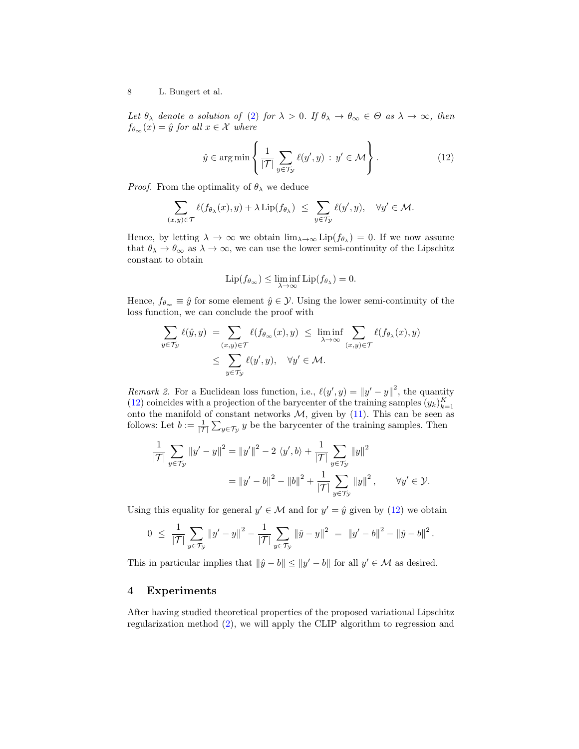Let  $\theta_{\lambda}$  denote a solution of [\(2\)](#page-2-0) for  $\lambda > 0$ . If  $\theta_{\lambda} \to \theta_{\infty} \in \Theta$  as  $\lambda \to \infty$ , then  $f_{\theta_{\infty}}(x) = \hat{y}$  for all  $x \in \mathcal{X}$  where

<span id="page-7-0"></span>
$$
\hat{y} \in \arg\min\left\{\frac{1}{|\mathcal{T}|}\sum_{y \in \mathcal{T}_{\mathcal{Y}}} \ell(y', y) : y' \in \mathcal{M}\right\}.
$$
 (12)

*Proof.* From the optimality of  $\theta_{\lambda}$  we deduce

$$
\sum_{(x,y)\in\mathcal{T}} \ell(f_{\theta_\lambda}(x), y) + \lambda \operatorname{Lip}(f_{\theta_\lambda}) \leq \sum_{y\in\mathcal{T}_{\mathcal{Y}}} \ell(y', y), \quad \forall y'\in\mathcal{M}.
$$

Hence, by letting  $\lambda \to \infty$  we obtain  $\lim_{\lambda \to \infty} Lip(f_{\theta_{\lambda}}) = 0$ . If we now assume that  $\theta_{\lambda} \to \theta_{\infty}$  as  $\lambda \to \infty$ , we can use the lower semi-continuity of the Lipschitz constant to obtain

$$
\mathrm{Lip}(f_{\theta_{\infty}}) \leq \liminf_{\lambda \to \infty} \mathrm{Lip}(f_{\theta_{\lambda}}) = 0.
$$

Hence,  $f_{\theta_{\infty}} \equiv \hat{y}$  for some element  $\hat{y} \in \mathcal{Y}$ . Using the lower semi-continuity of the loss function, we can conclude the proof with

$$
\sum_{y \in \mathcal{T}_{\mathcal{Y}}} \ell(\hat{y}, y) = \sum_{(x, y) \in \mathcal{T}} \ell(f_{\theta_{\infty}}(x), y) \le \liminf_{\lambda \to \infty} \sum_{(x, y) \in \mathcal{T}} \ell(f_{\theta_{\lambda}}(x), y)
$$
  

$$
\le \sum_{y \in \mathcal{T}_{\mathcal{Y}}} \ell(y', y), \quad \forall y' \in \mathcal{M}.
$$

*Remark 2.* For a Euclidean loss function, i.e.,  $\ell(y', y) = ||y' - y||^2$ , the quantity [\(12\)](#page-7-0) coincides with a projection of the barycenter of the training samples  $(y_k)_{k=1}^K$ onto the manifold of constant networks  $M$ , given by  $(11)$ . This can be seen as follows: Let  $b := \frac{1}{|\mathcal{T}|} \sum_{y \in \mathcal{T}_{\mathcal{Y}}} y$  be the barycenter of the training samples. Then

$$
\frac{1}{|\mathcal{T}|} \sum_{y \in \mathcal{T}_{\mathcal{Y}}} ||y' - y||^2 = ||y'||^2 - 2 \langle y', b \rangle + \frac{1}{|\mathcal{T}|} \sum_{y \in \mathcal{T}_{\mathcal{Y}}} ||y||^2
$$
  
=  $||y' - b||^2 - ||b||^2 + \frac{1}{|\mathcal{T}|} \sum_{y \in \mathcal{T}_{\mathcal{Y}}} ||y||^2, \qquad \forall y' \in \mathcal{Y}.$ 

Using this equality for general  $y' \in \mathcal{M}$  and for  $y' = \hat{y}$  given by [\(12\)](#page-7-0) we obtain

$$
0 \ \leq \ \frac{1}{|\mathcal{T}|} \sum_{y \in \mathcal{T}_{\mathcal{Y}}} ||y' - y||^2 - \frac{1}{|\mathcal{T}|} \sum_{y \in \mathcal{T}_{\mathcal{Y}}} ||\hat{y} - y||^2 \ = \ ||y' - b||^2 - ||\hat{y} - b||^2 \, .
$$

This in particular implies that  $\|\hat{y} - b\| \le \|y' - b\|$  for all  $y' \in \mathcal{M}$  as desired.

# 4 Experiments

After having studied theoretical properties of the proposed variational Lipschitz regularization method [\(2\)](#page-2-0), we will apply the CLIP algorithm to regression and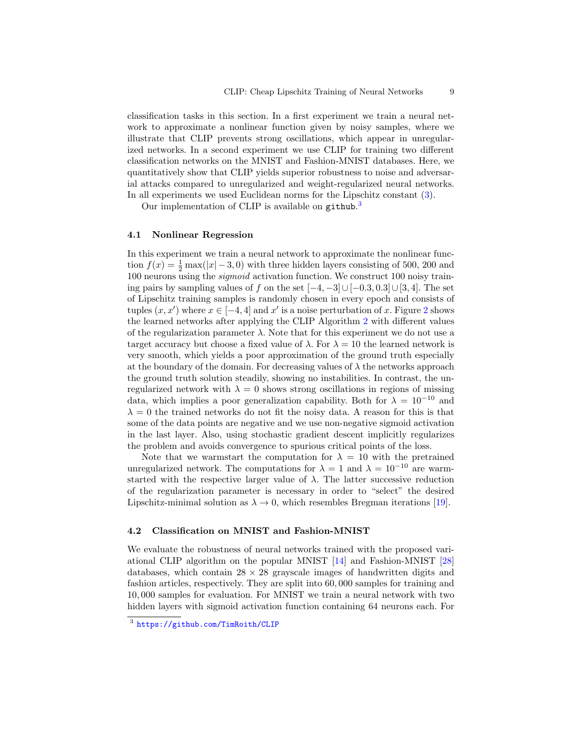classification tasks in this section. In a first experiment we train a neural network to approximate a nonlinear function given by noisy samples, where we illustrate that CLIP prevents strong oscillations, which appear in unregularized networks. In a second experiment we use CLIP for training two different classification networks on the MNIST and Fashion-MNIST databases. Here, we quantitatively show that CLIP yields superior robustness to noise and adversarial attacks compared to unregularized and weight-regularized neural networks. In all experiments we used Euclidean norms for the Lipschitz constant [\(3\)](#page-2-1).

Our implementation of CLIP is available on github.<sup>[3](#page-0-0)</sup>

## 4.1 Nonlinear Regression

In this experiment we train a neural network to approximate the nonlinear function  $f(x) = \frac{1}{2} \max(|x| - 3, 0)$  with three hidden layers consisting of 500, 200 and 100 neurons using the sigmoid activation function. We construct 100 noisy training pairs by sampling values of f on the set  $[-4, -3] \cup [-0.3, 0.3] \cup [3, 4]$ . The set of Lipschitz training samples is randomly chosen in every epoch and consists of tuples  $(x, x')$  where  $x \in [-4, 4]$  and  $x'$  is a noise perturbation of x. Figure [2](#page-9-0) shows the learned networks after applying the CLIP Algorithm [2](#page-3-2) with different values of the regularization parameter  $\lambda$ . Note that for this experiment we do not use a target accuracy but choose a fixed value of  $\lambda$ . For  $\lambda = 10$  the learned network is very smooth, which yields a poor approximation of the ground truth especially at the boundary of the domain. For decreasing values of  $\lambda$  the networks approach the ground truth solution steadily, showing no instabilities. In contrast, the unregularized network with  $\lambda = 0$  shows strong oscillations in regions of missing data, which implies a poor generalization capability. Both for  $\lambda = 10^{-10}$  and  $\lambda = 0$  the trained networks do not fit the noisy data. A reason for this is that some of the data points are negative and we use non-negative sigmoid activation in the last layer. Also, using stochastic gradient descent implicitly regularizes the problem and avoids convergence to spurious critical points of the loss.

Note that we warmstart the computation for  $\lambda = 10$  with the pretrained unregularized network. The computations for  $\lambda = 1$  and  $\lambda = 10^{-10}$  are warmstarted with the respective larger value of  $\lambda$ . The latter successive reduction of the regularization parameter is necessary in order to "select" the desired Lipschitz-minimal solution as  $\lambda \to 0$ , which resembles Bregman iterations [\[19\]](#page-11-22).

## <span id="page-8-0"></span>4.2 Classification on MNIST and Fashion-MNIST

We evaluate the robustness of neural networks trained with the proposed variational CLIP algorithm on the popular MNIST [\[14\]](#page-11-18) and Fashion-MNIST [\[28\]](#page-11-19) databases, which contain  $28 \times 28$  grayscale images of handwritten digits and fashion articles, respectively. They are split into 60, 000 samples for training and 10, 000 samples for evaluation. For MNIST we train a neural network with two hidden layers with sigmoid activation function containing 64 neurons each. For

<sup>3</sup> <https://github.com/TimRoith/CLIP>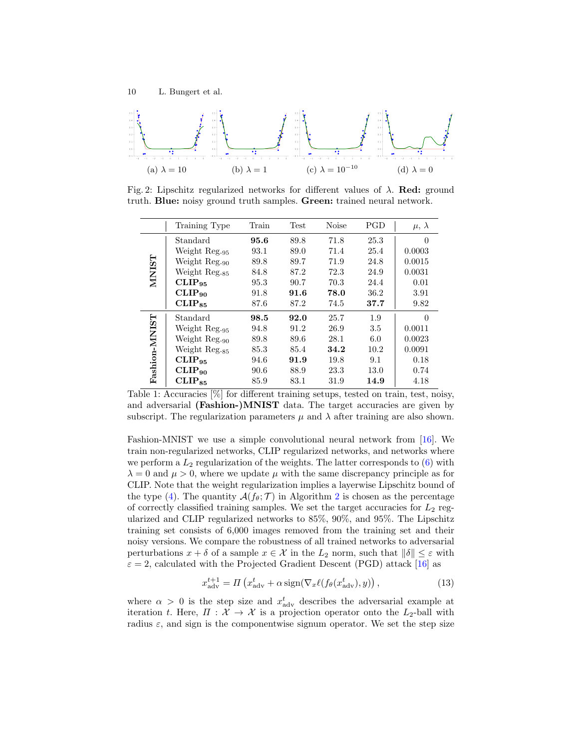<span id="page-9-0"></span>

Fig. 2: Lipschitz regularized networks for different values of  $\lambda$ . Red: ground truth. Blue: noisy ground truth samples. Green: trained neural network.

<span id="page-9-1"></span>

|               | Training Type             | Train | Test | <b>Noise</b> | PGD  | $\mu$ , $\lambda$ |
|---------------|---------------------------|-------|------|--------------|------|-------------------|
| NINIST        | Standard                  | 95.6  | 89.8 | 71.8         | 25.3 | 0                 |
|               | Weight Reg.95             | 93.1  | 89.0 | 71.4         | 25.4 | 0.0003            |
|               | Weight $\text{Reg.}_{90}$ | 89.8  | 89.7 | 71.9         | 24.8 | 0.0015            |
|               | Weight Reg. <sub>85</sub> | 84.8  | 87.2 | 72.3         | 24.9 | 0.0031            |
|               | $CLIP_{95}$               | 95.3  | 90.7 | 70.3         | 24.4 | 0.01              |
|               | $CLIP_{90}$               | 91.8  | 91.6 | 78.0         | 36.2 | 3.91              |
|               | CLIP <sub>85</sub>        | 87.6  | 87.2 | 74.5         | 37.7 | 9.82              |
| Fashion-MNIST | Standard                  | 98.5  | 92.0 | 25.7         | 1.9  | $\Omega$          |
|               | Weight Reg.95             | 94.8  | 91.2 | 26.9         | 3.5  | 0.0011            |
|               | Weight $\text{Reg.}_{90}$ | 89.8  | 89.6 | 28.1         | 6.0  | 0.0023            |
|               | Weight Reg. <sub>85</sub> | 85.3  | 85.4 | 34.2         | 10.2 | 0.0091            |
|               | $CLIP_{95}$               | 94.6  | 91.9 | 19.8         | 9.1  | 0.18              |
|               | $CLIP_{90}$               | 90.6  | 88.9 | 23.3         | 13.0 | 0.74              |
|               | CLIP <sub>85</sub>        | 85.9  | 83.1 | 31.9         | 14.9 | 4.18              |

Table 1: Accuracies [%] for different training setups, tested on train, test, noisy, and adversarial (Fashion-)MNIST data. The target accuracies are given by subscript. The regularization parameters  $\mu$  and  $\lambda$  after training are also shown.

Fashion-MNIST we use a simple convolutional neural network from [\[16\]](#page-11-4). We train non-regularized networks, CLIP regularized networks, and networks where we perform a  $L_2$  regularization of the weights. The latter corresponds to  $(6)$  with  $\lambda = 0$  and  $\mu > 0$ , where we update  $\mu$  with the same discrepancy principle as for CLIP. Note that the weight regularization implies a layerwise Lipschitz bound of the type [\(4\)](#page-2-3). The quantity  $\mathcal{A}(f_{\theta}; \mathcal{T})$  in Algorithm [2](#page-3-2) is chosen as the percentage of correctly classified training samples. We set the target accuracies for  $L_2$  regularized and CLIP regularized networks to 85%, 90%, and 95%. The Lipschitz training set consists of 6,000 images removed from the training set and their noisy versions. We compare the robustness of all trained networks to adversarial perturbations  $x + \delta$  of a sample  $x \in \mathcal{X}$  in the  $L_2$  norm, such that  $\|\delta\| \leq \varepsilon$  with  $\varepsilon = 2$ , calculated with the Projected Gradient Descent (PGD) attack [\[16\]](#page-11-4) as

$$
x_{\text{adv}}^{t+1} = \Pi \left( x_{\text{adv}}^t + \alpha \operatorname{sign}(\nabla_x \ell(f_\theta(x_{\text{adv}}^t), y)) \right),\tag{13}
$$

where  $\alpha > 0$  is the step size and  $x_{\text{adv}}^t$  describes the adversarial example at iteration t. Here,  $\Pi : \mathcal{X} \to \mathcal{X}$  is a projection operator onto the  $L_2$ -ball with radius  $\varepsilon$ , and sign is the componentwise signum operator. We set the step size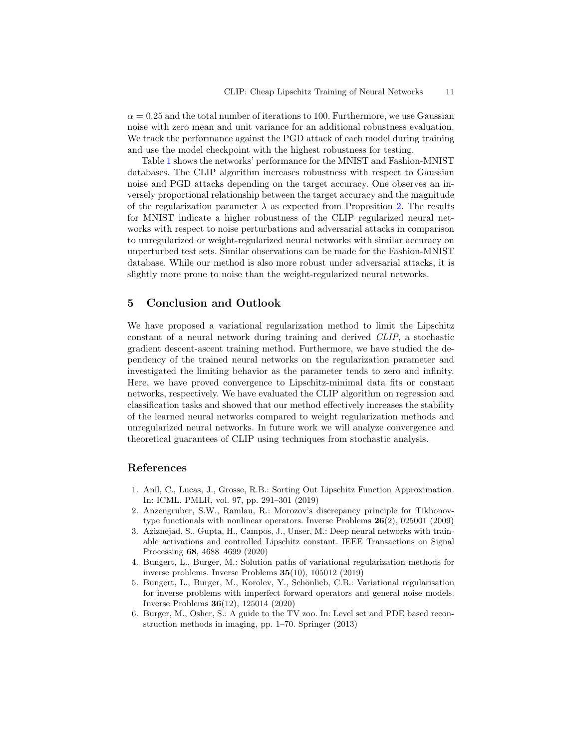$\alpha = 0.25$  and the total number of iterations to 100. Furthermore, we use Gaussian noise with zero mean and unit variance for an additional robustness evaluation. We track the performance against the PGD attack of each model during training and use the model checkpoint with the highest robustness for testing.

Table [1](#page-9-1) shows the networks' performance for the MNIST and Fashion-MNIST databases. The CLIP algorithm increases robustness with respect to Gaussian noise and PGD attacks depending on the target accuracy. One observes an inversely proportional relationship between the target accuracy and the magnitude of the regularization parameter  $\lambda$  as expected from Proposition [2.](#page-5-2) The results for MNIST indicate a higher robustness of the CLIP regularized neural networks with respect to noise perturbations and adversarial attacks in comparison to unregularized or weight-regularized neural networks with similar accuracy on unperturbed test sets. Similar observations can be made for the Fashion-MNIST database. While our method is also more robust under adversarial attacks, it is slightly more prone to noise than the weight-regularized neural networks.

# 5 Conclusion and Outlook

We have proposed a variational regularization method to limit the Lipschitz constant of a neural network during training and derived CLIP, a stochastic gradient descent-ascent training method. Furthermore, we have studied the dependency of the trained neural networks on the regularization parameter and investigated the limiting behavior as the parameter tends to zero and infinity. Here, we have proved convergence to Lipschitz-minimal data fits or constant networks, respectively. We have evaluated the CLIP algorithm on regression and classification tasks and showed that our method effectively increases the stability of the learned neural networks compared to weight regularization methods and unregularized neural networks. In future work we will analyze convergence and theoretical guarantees of CLIP using techniques from stochastic analysis.

# References

- <span id="page-10-0"></span>1. Anil, C., Lucas, J., Grosse, R.B.: Sorting Out Lipschitz Function Approximation. In: ICML. PMLR, vol. 97, pp. 291–301 (2019)
- <span id="page-10-4"></span>2. Anzengruber, S.W., Ramlau, R.: Morozov's discrepancy principle for Tikhonovtype functionals with nonlinear operators. Inverse Problems 26(2), 025001 (2009)
- <span id="page-10-1"></span>3. Aziznejad, S., Gupta, H., Campos, J., Unser, M.: Deep neural networks with trainable activations and controlled Lipschitz constant. IEEE Transactions on Signal Processing 68, 4688–4699 (2020)
- <span id="page-10-2"></span>4. Bungert, L., Burger, M.: Solution paths of variational regularization methods for inverse problems. Inverse Problems 35(10), 105012 (2019)
- <span id="page-10-5"></span>5. Bungert, L., Burger, M., Korolev, Y., Schönlieb, C.B.: Variational regularisation for inverse problems with imperfect forward operators and general noise models. Inverse Problems 36(12), 125014 (2020)
- <span id="page-10-3"></span>6. Burger, M., Osher, S.: A guide to the TV zoo. In: Level set and PDE based reconstruction methods in imaging, pp. 1–70. Springer (2013)